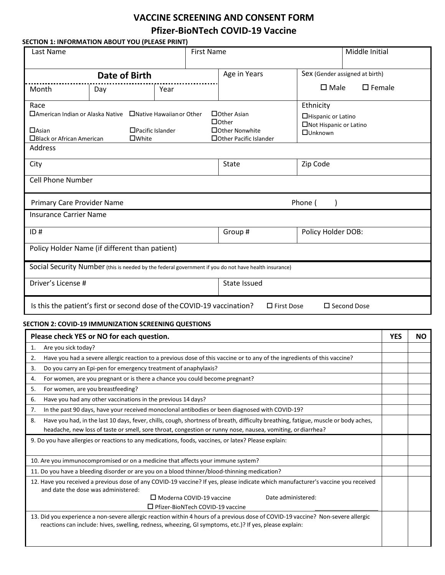## **VACCINE SCREENING AND CONSENT FORM Pfizer-BioNTech COVID-19 Vaccine**

|                                                                    |                                                |                                                                                                    | <b>First Name</b>                                                                                                        | Middle Initial                                                                                                                     |                  |           |
|--------------------------------------------------------------------|------------------------------------------------|----------------------------------------------------------------------------------------------------|--------------------------------------------------------------------------------------------------------------------------|------------------------------------------------------------------------------------------------------------------------------------|------------------|-----------|
| Date of Birth                                                      |                                                |                                                                                                    | Age in Years                                                                                                             | Sex (Gender assigned at birth)                                                                                                     |                  |           |
| Month                                                              | Day                                            | Year                                                                                               |                                                                                                                          | $\square$ Male                                                                                                                     | $\square$ Female |           |
| Race<br>$\Box$ Asian<br>$\Box$ Black or African American           | $\square$ White                                | $\Box$ American Indian or Alaska Native $\Box$ Native Hawaiian or Other<br>$\Box$ Pacific Islander | $\Box$ Other Asian<br>$\Box$ Other<br>□ Other Nonwhite<br>□ Other Pacific Islander                                       | Ethnicity<br>□Hispanic or Latino<br>□Not Hispanic or Latino<br><b>OUnknown</b>                                                     |                  |           |
| Address                                                            |                                                |                                                                                                    |                                                                                                                          |                                                                                                                                    |                  |           |
| City                                                               |                                                |                                                                                                    | State                                                                                                                    | Zip Code                                                                                                                           |                  |           |
| <b>Cell Phone Number</b>                                           |                                                |                                                                                                    |                                                                                                                          |                                                                                                                                    |                  |           |
| Primary Care Provider Name                                         |                                                |                                                                                                    |                                                                                                                          | Phone (                                                                                                                            |                  |           |
| <b>Insurance Carrier Name</b>                                      |                                                |                                                                                                    |                                                                                                                          |                                                                                                                                    |                  |           |
| ID#                                                                |                                                |                                                                                                    | Group#                                                                                                                   | Policy Holder DOB:                                                                                                                 |                  |           |
|                                                                    | Policy Holder Name (if different than patient) |                                                                                                    |                                                                                                                          |                                                                                                                                    |                  |           |
|                                                                    |                                                |                                                                                                    | Social Security Number (this is needed by the federal government if you do not have health insurance)                    |                                                                                                                                    |                  |           |
|                                                                    |                                                |                                                                                                    |                                                                                                                          |                                                                                                                                    |                  |           |
|                                                                    |                                                |                                                                                                    |                                                                                                                          |                                                                                                                                    |                  |           |
|                                                                    |                                                |                                                                                                    | State Issued                                                                                                             |                                                                                                                                    |                  |           |
|                                                                    |                                                | Is this the patient's first or second dose of the COVID-19 vaccination?                            |                                                                                                                          | $\Box$ First Dose<br>□ Second Dose                                                                                                 |                  |           |
|                                                                    |                                                | SECTION 2: COVID-19 IMMUNIZATION SCREENING QUESTIONS                                               |                                                                                                                          |                                                                                                                                    |                  |           |
|                                                                    | Please check YES or NO for each question.      |                                                                                                    |                                                                                                                          |                                                                                                                                    | <b>YES</b>       |           |
| Are you sick today?                                                |                                                |                                                                                                    |                                                                                                                          |                                                                                                                                    |                  |           |
|                                                                    |                                                |                                                                                                    | Have you had a severe allergic reaction to a previous dose of this vaccine or to any of the ingredients of this vaccine? |                                                                                                                                    |                  |           |
|                                                                    |                                                | Do you carry an Epi-pen for emergency treatment of anaphylaxis?                                    |                                                                                                                          |                                                                                                                                    |                  |           |
|                                                                    |                                                | For women, are you pregnant or is there a chance you could become pregnant?                        |                                                                                                                          |                                                                                                                                    |                  |           |
|                                                                    | For women, are you breastfeeding?              |                                                                                                    |                                                                                                                          |                                                                                                                                    |                  |           |
|                                                                    |                                                | Have you had any other vaccinations in the previous 14 days?                                       |                                                                                                                          |                                                                                                                                    |                  |           |
|                                                                    |                                                |                                                                                                    | In the past 90 days, have your received monoclonal antibodies or been diagnosed with COVID-19?                           |                                                                                                                                    |                  |           |
|                                                                    |                                                |                                                                                                    |                                                                                                                          | Have you had, in the last 10 days, fever, chills, cough, shortness of breath, difficulty breathing, fatigue, muscle or body aches, |                  |           |
|                                                                    |                                                |                                                                                                    | headache, new loss of taste or smell, sore throat, congestion or runny nose, nausea, vomiting, or diarrhea?              |                                                                                                                                    |                  |           |
|                                                                    |                                                |                                                                                                    | 9. Do you have allergies or reactions to any medications, foods, vaccines, or latex? Please explain:                     |                                                                                                                                    |                  |           |
|                                                                    |                                                | 10. Are you immunocompromised or on a medicine that affects your immune system?                    |                                                                                                                          |                                                                                                                                    |                  |           |
|                                                                    |                                                |                                                                                                    | 11. Do you have a bleeding disorder or are you on a blood thinner/blood-thinning medication?                             |                                                                                                                                    |                  |           |
|                                                                    | and date the dose was administered:            |                                                                                                    |                                                                                                                          | 12. Have you received a previous dose of any COVID-19 vaccine? If yes, please indicate which manufacturer's vaccine you received   |                  |           |
| Driver's License #<br>1.<br>2.<br>3.<br>4.<br>5.<br>6.<br>7.<br>8. |                                                | $\Box$ Moderna COVID-19 vaccine<br>$\Box$ Pfizer-BioNTech COVID-19 vaccine                         |                                                                                                                          | Date administered:                                                                                                                 |                  | <b>NO</b> |